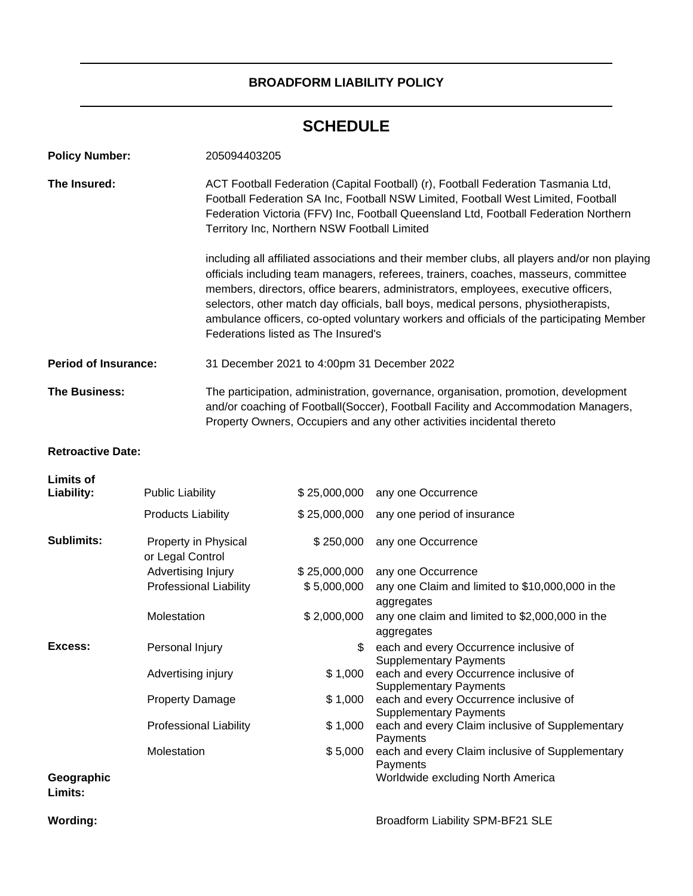# **BROADFORM LIABILITY POLICY**

# **SCHEDULE**

| <b>Policy Number:</b>       |                                  | 205094403205                                                                                                                                                                                                                                                                                                   |                                                                                                                                                                                                                                                                                                                                                                                                                                                              |  |  |  |
|-----------------------------|----------------------------------|----------------------------------------------------------------------------------------------------------------------------------------------------------------------------------------------------------------------------------------------------------------------------------------------------------------|--------------------------------------------------------------------------------------------------------------------------------------------------------------------------------------------------------------------------------------------------------------------------------------------------------------------------------------------------------------------------------------------------------------------------------------------------------------|--|--|--|
| The Insured:                |                                  | ACT Football Federation (Capital Football) (r), Football Federation Tasmania Ltd,<br>Football Federation SA Inc, Football NSW Limited, Football West Limited, Football<br>Federation Victoria (FFV) Inc, Football Queensland Ltd, Football Federation Northern<br>Territory Inc, Northern NSW Football Limited |                                                                                                                                                                                                                                                                                                                                                                                                                                                              |  |  |  |
|                             |                                  | Federations listed as The Insured's                                                                                                                                                                                                                                                                            | including all affiliated associations and their member clubs, all players and/or non playing<br>officials including team managers, referees, trainers, coaches, masseurs, committee<br>members, directors, office bearers, administrators, employees, executive officers,<br>selectors, other match day officials, ball boys, medical persons, physiotherapists,<br>ambulance officers, co-opted voluntary workers and officials of the participating Member |  |  |  |
| <b>Period of Insurance:</b> |                                  | 31 December 2021 to 4:00pm 31 December 2022                                                                                                                                                                                                                                                                    |                                                                                                                                                                                                                                                                                                                                                                                                                                                              |  |  |  |
| <b>The Business:</b>        |                                  | The participation, administration, governance, organisation, promotion, development<br>and/or coaching of Football(Soccer), Football Facility and Accommodation Managers,<br>Property Owners, Occupiers and any other activities incidental thereto                                                            |                                                                                                                                                                                                                                                                                                                                                                                                                                                              |  |  |  |
| <b>Retroactive Date:</b>    |                                  |                                                                                                                                                                                                                                                                                                                |                                                                                                                                                                                                                                                                                                                                                                                                                                                              |  |  |  |
| Limits of<br>Liability:     | <b>Public Liability</b>          |                                                                                                                                                                                                                                                                                                                | \$25,000,000 any one Occurrence                                                                                                                                                                                                                                                                                                                                                                                                                              |  |  |  |
|                             | Provident and the first state of |                                                                                                                                                                                                                                                                                                                | $\uparrow$ $\uparrow$ $\uparrow$ $\uparrow$ $\uparrow$ $\uparrow$ $\uparrow$ $\uparrow$ $\uparrow$ $\uparrow$ $\uparrow$ $\uparrow$ $\uparrow$ $\uparrow$ $\uparrow$ $\uparrow$ $\uparrow$ $\uparrow$ $\uparrow$ $\uparrow$ $\uparrow$ $\uparrow$ $\uparrow$ $\uparrow$ $\uparrow$ $\uparrow$ $\uparrow$ $\uparrow$ $\uparrow$ $\uparrow$ $\uparrow$ $\uparrow$ $\uparrow$ $\uparrow$ $\uparrow$ $\uparrow$ $\uparrow$                                       |  |  |  |

|                       | <b>Products Liability</b>                |              | \$25,000,000 any one period of insurance                                |
|-----------------------|------------------------------------------|--------------|-------------------------------------------------------------------------|
| <b>Sublimits:</b>     | Property in Physical<br>or Legal Control | \$250,000    | any one Occurrence                                                      |
|                       | Advertising Injury                       | \$25,000,000 | any one Occurrence                                                      |
|                       | <b>Professional Liability</b>            | \$5,000,000  | any one Claim and limited to \$10,000,000 in the<br>aggregates          |
|                       | Molestation                              | \$2,000,000  | any one claim and limited to \$2,000,000 in the<br>aggregates           |
| Excess:               | Personal Injury                          | \$           | each and every Occurrence inclusive of<br><b>Supplementary Payments</b> |
|                       | Advertising injury                       | \$1,000      | each and every Occurrence inclusive of<br><b>Supplementary Payments</b> |
|                       | <b>Property Damage</b>                   | \$1,000      | each and every Occurrence inclusive of<br><b>Supplementary Payments</b> |
|                       | <b>Professional Liability</b>            | \$1,000      | each and every Claim inclusive of Supplementary<br>Payments             |
|                       | Molestation                              | \$5,000      | each and every Claim inclusive of Supplementary<br>Payments             |
| Geographic<br>Limits: |                                          |              | Worldwide excluding North America                                       |
|                       |                                          |              |                                                                         |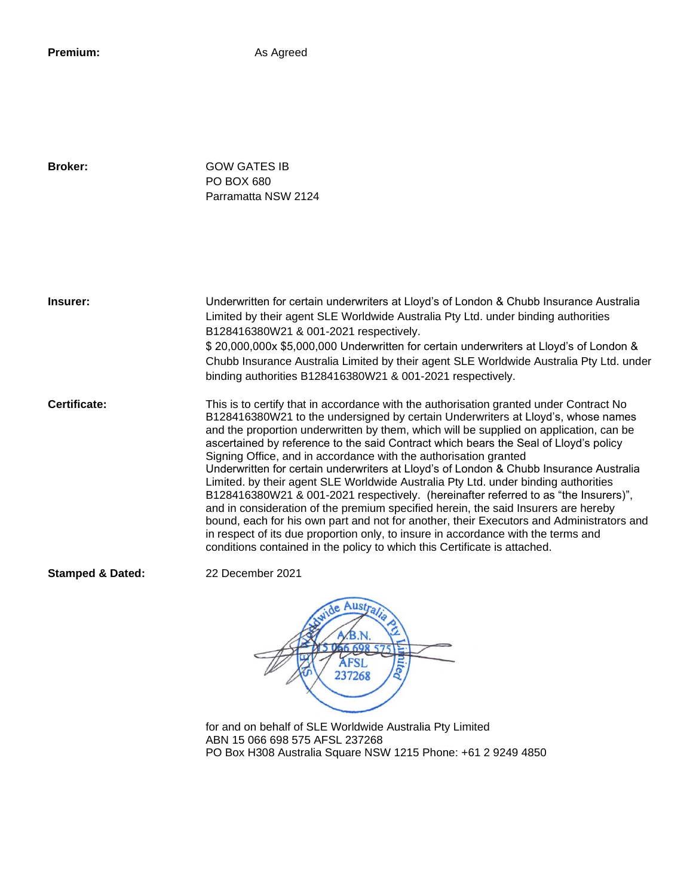**Premium:** As Agreed

**Broker:** GOW GATES IB PO BOX 680 Parramatta NSW 2124

**Insurer:** Underwritten for certain underwriters at Lloyd's of London & Chubb Insurance Australia Limited by their agent SLE Worldwide Australia Pty Ltd. under binding authorities B128416380W21 & 001-2021 respectively. \$ 20,000,000x \$5,000,000 Underwritten for certain underwriters at Lloyd's of London & Chubb Insurance Australia Limited by their agent SLE Worldwide Australia Pty Ltd. under binding authorities B128416380W21 & 001-2021 respectively. **Certificate:** This is to certify that in accordance with the authorisation granted under Contract No

B128416380W21 to the undersigned by certain Underwriters at Lloyd's, whose names and the proportion underwritten by them, which will be supplied on application, can be ascertained by reference to the said Contract which bears the Seal of Lloyd's policy Signing Office, and in accordance with the authorisation granted Underwritten for certain underwriters at Lloyd's of London & Chubb Insurance Australia Limited. by their agent SLE Worldwide Australia Pty Ltd. under binding authorities B128416380W21 & 001-2021 respectively. (hereinafter referred to as "the Insurers)", and in consideration of the premium specified herein, the said Insurers are hereby bound, each for his own part and not for another, their Executors and Administrators and in respect of its due proportion only, to insure in accordance with the terms and conditions contained in the policy to which this Certificate is attached.

**Stamped & Dated:** 22 December 2021

AFSL 237268

for and on behalf of SLE Worldwide Australia Pty Limited ABN 15 066 698 575 AFSL 237268 PO Box H308 Australia Square NSW 1215 Phone: +61 2 9249 4850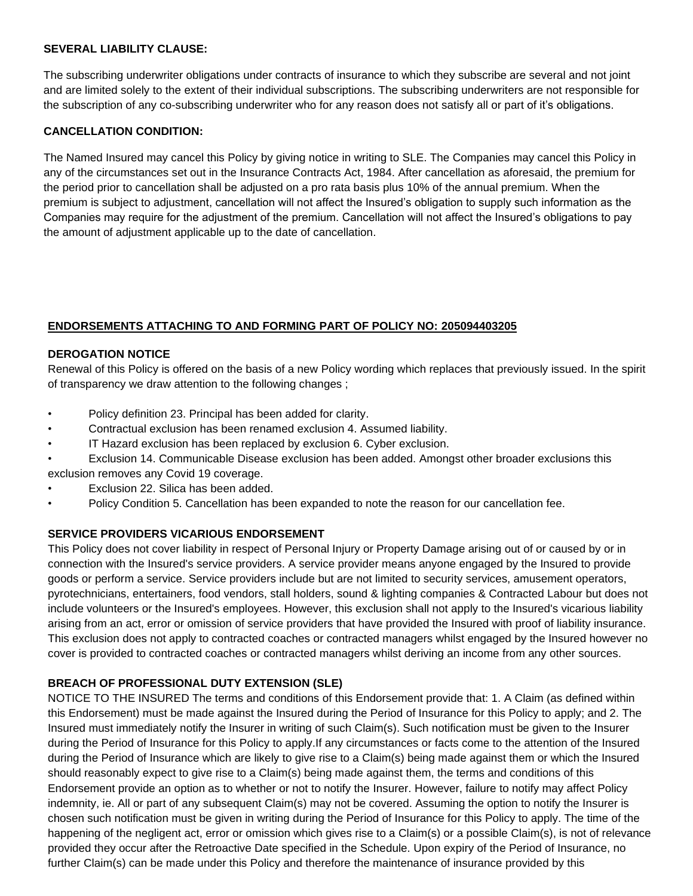#### **SEVERAL LIABILITY CLAUSE:**

The subscribing underwriter obligations under contracts of insurance to which they subscribe are several and not joint and are limited solely to the extent of their individual subscriptions. The subscribing underwriters are not responsible for the subscription of any co-subscribing underwriter who for any reason does not satisfy all or part of it's obligations.

#### **CANCELLATION CONDITION:**

The Named Insured may cancel this Policy by giving notice in writing to SLE. The Companies may cancel this Policy in any of the circumstances set out in the Insurance Contracts Act, 1984. After cancellation as aforesaid, the premium for the period prior to cancellation shall be adjusted on a pro rata basis plus 10% of the annual premium. When the premium is subject to adjustment, cancellation will not affect the Insured's obligation to supply such information as the Companies may require for the adjustment of the premium. Cancellation will not affect the Insured's obligations to pay the amount of adjustment applicable up to the date of cancellation.

#### **ENDORSEMENTS ATTACHING TO AND FORMING PART OF POLICY NO: 205094403205**

#### **DEROGATION NOTICE**

Renewal of this Policy is offered on the basis of a new Policy wording which replaces that previously issued. In the spirit of transparency we draw attention to the following changes ;

- Policy definition 23. Principal has been added for clarity.
- Contractual exclusion has been renamed exclusion 4. Assumed liability.
- IT Hazard exclusion has been replaced by exclusion 6. Cyber exclusion.
- Exclusion 14. Communicable Disease exclusion has been added. Amongst other broader exclusions this exclusion removes any Covid 19 coverage.
- Exclusion 22. Silica has been added.
- Policy Condition 5. Cancellation has been expanded to note the reason for our cancellation fee.

#### **SERVICE PROVIDERS VICARIOUS ENDORSEMENT**

This Policy does not cover liability in respect of Personal Injury or Property Damage arising out of or caused by or in connection with the Insured's service providers. A service provider means anyone engaged by the Insured to provide goods or perform a service. Service providers include but are not limited to security services, amusement operators, pyrotechnicians, entertainers, food vendors, stall holders, sound & lighting companies & Contracted Labour but does not include volunteers or the Insured's employees. However, this exclusion shall not apply to the Insured's vicarious liability arising from an act, error or omission of service providers that have provided the Insured with proof of liability insurance. This exclusion does not apply to contracted coaches or contracted managers whilst engaged by the Insured however no cover is provided to contracted coaches or contracted managers whilst deriving an income from any other sources.

#### **BREACH OF PROFESSIONAL DUTY EXTENSION (SLE)**

NOTICE TO THE INSURED The terms and conditions of this Endorsement provide that: 1. A Claim (as defined within this Endorsement) must be made against the Insured during the Period of Insurance for this Policy to apply; and 2. The Insured must immediately notify the Insurer in writing of such Claim(s). Such notification must be given to the Insurer during the Period of Insurance for this Policy to apply.If any circumstances or facts come to the attention of the Insured during the Period of Insurance which are likely to give rise to a Claim(s) being made against them or which the Insured should reasonably expect to give rise to a Claim(s) being made against them, the terms and conditions of this Endorsement provide an option as to whether or not to notify the Insurer. However, failure to notify may affect Policy indemnity, ie. All or part of any subsequent Claim(s) may not be covered. Assuming the option to notify the Insurer is chosen such notification must be given in writing during the Period of Insurance for this Policy to apply. The time of the happening of the negligent act, error or omission which gives rise to a Claim(s) or a possible Claim(s), is not of relevance provided they occur after the Retroactive Date specified in the Schedule. Upon expiry of the Period of Insurance, no further Claim(s) can be made under this Policy and therefore the maintenance of insurance provided by this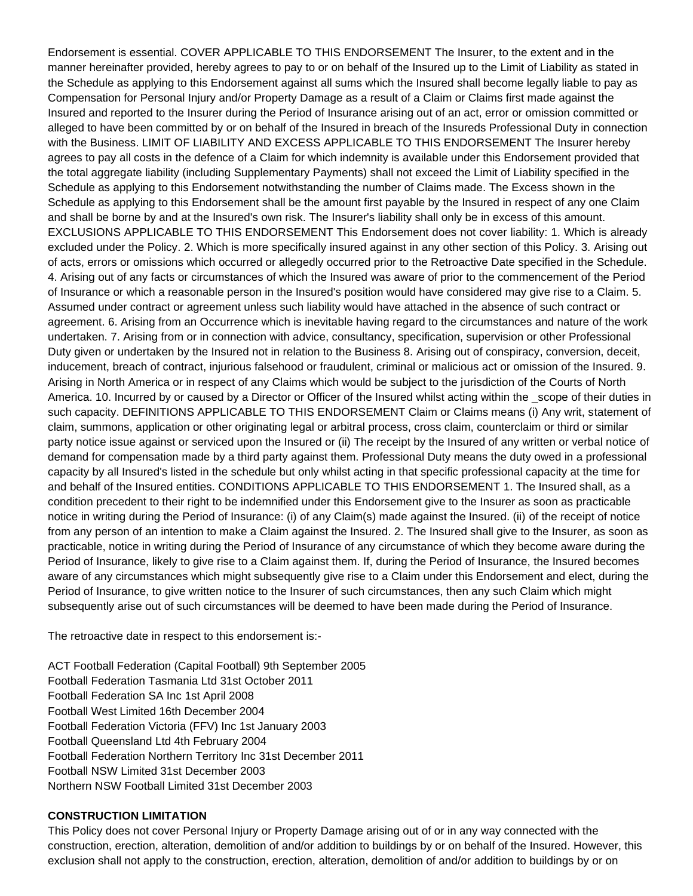Endorsement is essential. COVER APPLICABLE TO THIS ENDORSEMENT The Insurer, to the extent and in the manner hereinafter provided, hereby agrees to pay to or on behalf of the Insured up to the Limit of Liability as stated in the Schedule as applying to this Endorsement against all sums which the Insured shall become legally liable to pay as Compensation for Personal Injury and/or Property Damage as a result of a Claim or Claims first made against the Insured and reported to the Insurer during the Period of Insurance arising out of an act, error or omission committed or alleged to have been committed by or on behalf of the Insured in breach of the Insureds Professional Duty in connection with the Business. LIMIT OF LIABILITY AND EXCESS APPLICABLE TO THIS ENDORSEMENT The Insurer hereby agrees to pay all costs in the defence of a Claim for which indemnity is available under this Endorsement provided that the total aggregate liability (including Supplementary Payments) shall not exceed the Limit of Liability specified in the Schedule as applying to this Endorsement notwithstanding the number of Claims made. The Excess shown in the Schedule as applying to this Endorsement shall be the amount first payable by the Insured in respect of any one Claim and shall be borne by and at the Insured's own risk. The Insurer's liability shall only be in excess of this amount. EXCLUSIONS APPLICABLE TO THIS ENDORSEMENT This Endorsement does not cover liability: 1. Which is already excluded under the Policy. 2. Which is more specifically insured against in any other section of this Policy. 3. Arising out of acts, errors or omissions which occurred or allegedly occurred prior to the Retroactive Date specified in the Schedule. 4. Arising out of any facts or circumstances of which the Insured was aware of prior to the commencement of the Period of Insurance or which a reasonable person in the Insured's position would have considered may give rise to a Claim. 5. Assumed under contract or agreement unless such liability would have attached in the absence of such contract or agreement. 6. Arising from an Occurrence which is inevitable having regard to the circumstances and nature of the work undertaken. 7. Arising from or in connection with advice, consultancy, specification, supervision or other Professional Duty given or undertaken by the Insured not in relation to the Business 8. Arising out of conspiracy, conversion, deceit, inducement, breach of contract, injurious falsehood or fraudulent, criminal or malicious act or omission of the Insured. 9. Arising in North America or in respect of any Claims which would be subject to the jurisdiction of the Courts of North America. 10. Incurred by or caused by a Director or Officer of the Insured whilst acting within the \_scope of their duties in such capacity. DEFINITIONS APPLICABLE TO THIS ENDORSEMENT Claim or Claims means (i) Any writ, statement of claim, summons, application or other originating legal or arbitral process, cross claim, counterclaim or third or similar party notice issue against or serviced upon the Insured or (ii) The receipt by the Insured of any written or verbal notice of demand for compensation made by a third party against them. Professional Duty means the duty owed in a professional capacity by all Insured's listed in the schedule but only whilst acting in that specific professional capacity at the time for and behalf of the Insured entities. CONDITIONS APPLICABLE TO THIS ENDORSEMENT 1. The Insured shall, as a condition precedent to their right to be indemnified under this Endorsement give to the Insurer as soon as practicable notice in writing during the Period of Insurance: (i) of any Claim(s) made against the Insured. (ii) of the receipt of notice from any person of an intention to make a Claim against the Insured. 2. The Insured shall give to the Insurer, as soon as practicable, notice in writing during the Period of Insurance of any circumstance of which they become aware during the Period of Insurance, likely to give rise to a Claim against them. If, during the Period of Insurance, the Insured becomes aware of any circumstances which might subsequently give rise to a Claim under this Endorsement and elect, during the Period of Insurance, to give written notice to the Insurer of such circumstances, then any such Claim which might subsequently arise out of such circumstances will be deemed to have been made during the Period of Insurance.

The retroactive date in respect to this endorsement is:-

ACT Football Federation (Capital Football) 9th September 2005 Football Federation Tasmania Ltd 31st October 2011 Football Federation SA Inc 1st April 2008 Football West Limited 16th December 2004 Football Federation Victoria (FFV) Inc 1st January 2003 Football Queensland Ltd 4th February 2004 Football Federation Northern Territory Inc 31st December 2011 Football NSW Limited 31st December 2003 Northern NSW Football Limited 31st December 2003

#### **CONSTRUCTION LIMITATION**

This Policy does not cover Personal Injury or Property Damage arising out of or in any way connected with the construction, erection, alteration, demolition of and/or addition to buildings by or on behalf of the Insured. However, this exclusion shall not apply to the construction, erection, alteration, demolition of and/or addition to buildings by or on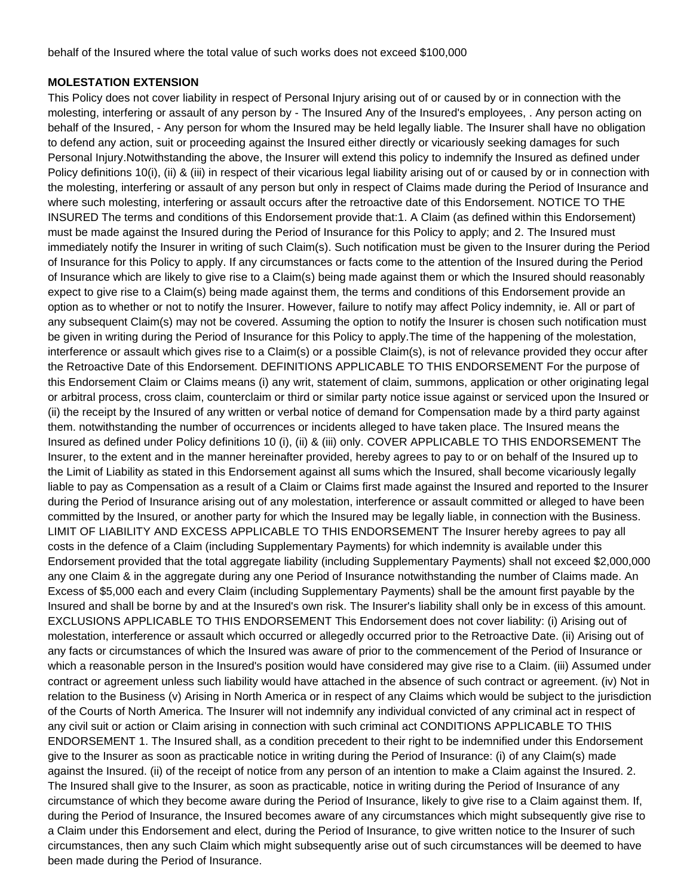behalf of the Insured where the total value of such works does not exceed \$100,000

#### **MOLESTATION EXTENSION**

This Policy does not cover liability in respect of Personal Injury arising out of or caused by or in connection with the molesting, interfering or assault of any person by - The Insured Any of the Insured's employees, . Any person acting on behalf of the Insured, - Any person for whom the Insured may be held legally liable. The Insurer shall have no obligation to defend any action, suit or proceeding against the Insured either directly or vicariously seeking damages for such Personal Injury.Notwithstanding the above, the Insurer will extend this policy to indemnify the Insured as defined under Policy definitions 10(i), (ii) & (iii) in respect of their vicarious legal liability arising out of or caused by or in connection with the molesting, interfering or assault of any person but only in respect of Claims made during the Period of Insurance and where such molesting, interfering or assault occurs after the retroactive date of this Endorsement. NOTICE TO THE INSURED The terms and conditions of this Endorsement provide that:1. A Claim (as defined within this Endorsement) must be made against the Insured during the Period of Insurance for this Policy to apply; and 2. The Insured must immediately notify the Insurer in writing of such Claim(s). Such notification must be given to the Insurer during the Period of Insurance for this Policy to apply. If any circumstances or facts come to the attention of the Insured during the Period of Insurance which are likely to give rise to a Claim(s) being made against them or which the Insured should reasonably expect to give rise to a Claim(s) being made against them, the terms and conditions of this Endorsement provide an option as to whether or not to notify the Insurer. However, failure to notify may affect Policy indemnity, ie. All or part of any subsequent Claim(s) may not be covered. Assuming the option to notify the Insurer is chosen such notification must be given in writing during the Period of Insurance for this Policy to apply.The time of the happening of the molestation, interference or assault which gives rise to a Claim(s) or a possible Claim(s), is not of relevance provided they occur after the Retroactive Date of this Endorsement. DEFINITIONS APPLICABLE TO THIS ENDORSEMENT For the purpose of this Endorsement Claim or Claims means (i) any writ, statement of claim, summons, application or other originating legal or arbitral process, cross claim, counterclaim or third or similar party notice issue against or serviced upon the Insured or (ii) the receipt by the Insured of any written or verbal notice of demand for Compensation made by a third party against them. notwithstanding the number of occurrences or incidents alleged to have taken place. The Insured means the Insured as defined under Policy definitions 10 (i), (ii) & (iii) only. COVER APPLICABLE TO THIS ENDORSEMENT The Insurer, to the extent and in the manner hereinafter provided, hereby agrees to pay to or on behalf of the Insured up to the Limit of Liability as stated in this Endorsement against all sums which the Insured, shall become vicariously legally liable to pay as Compensation as a result of a Claim or Claims first made against the Insured and reported to the Insurer during the Period of Insurance arising out of any molestation, interference or assault committed or alleged to have been committed by the Insured, or another party for which the Insured may be legally liable, in connection with the Business. LIMIT OF LIABILITY AND EXCESS APPLICABLE TO THIS ENDORSEMENT The Insurer hereby agrees to pay all costs in the defence of a Claim (including Supplementary Payments) for which indemnity is available under this Endorsement provided that the total aggregate liability (including Supplementary Payments) shall not exceed \$2,000,000 any one Claim & in the aggregate during any one Period of Insurance notwithstanding the number of Claims made. An Excess of \$5,000 each and every Claim (including Supplementary Payments) shall be the amount first payable by the Insured and shall be borne by and at the Insured's own risk. The Insurer's liability shall only be in excess of this amount. EXCLUSIONS APPLICABLE TO THIS ENDORSEMENT This Endorsement does not cover liability: (i) Arising out of molestation, interference or assault which occurred or allegedly occurred prior to the Retroactive Date. (ii) Arising out of any facts or circumstances of which the Insured was aware of prior to the commencement of the Period of Insurance or which a reasonable person in the Insured's position would have considered may give rise to a Claim. (iii) Assumed under contract or agreement unless such liability would have attached in the absence of such contract or agreement. (iv) Not in relation to the Business (v) Arising in North America or in respect of any Claims which would be subject to the jurisdiction of the Courts of North America. The Insurer will not indemnify any individual convicted of any criminal act in respect of any civil suit or action or Claim arising in connection with such criminal act CONDITIONS APPLICABLE TO THIS ENDORSEMENT 1. The Insured shall, as a condition precedent to their right to be indemnified under this Endorsement give to the Insurer as soon as practicable notice in writing during the Period of Insurance: (i) of any Claim(s) made against the Insured. (ii) of the receipt of notice from any person of an intention to make a Claim against the Insured. 2. The Insured shall give to the Insurer, as soon as practicable, notice in writing during the Period of Insurance of any circumstance of which they become aware during the Period of Insurance, likely to give rise to a Claim against them. If, during the Period of Insurance, the Insured becomes aware of any circumstances which might subsequently give rise to a Claim under this Endorsement and elect, during the Period of Insurance, to give written notice to the Insurer of such circumstances, then any such Claim which might subsequently arise out of such circumstances will be deemed to have been made during the Period of Insurance.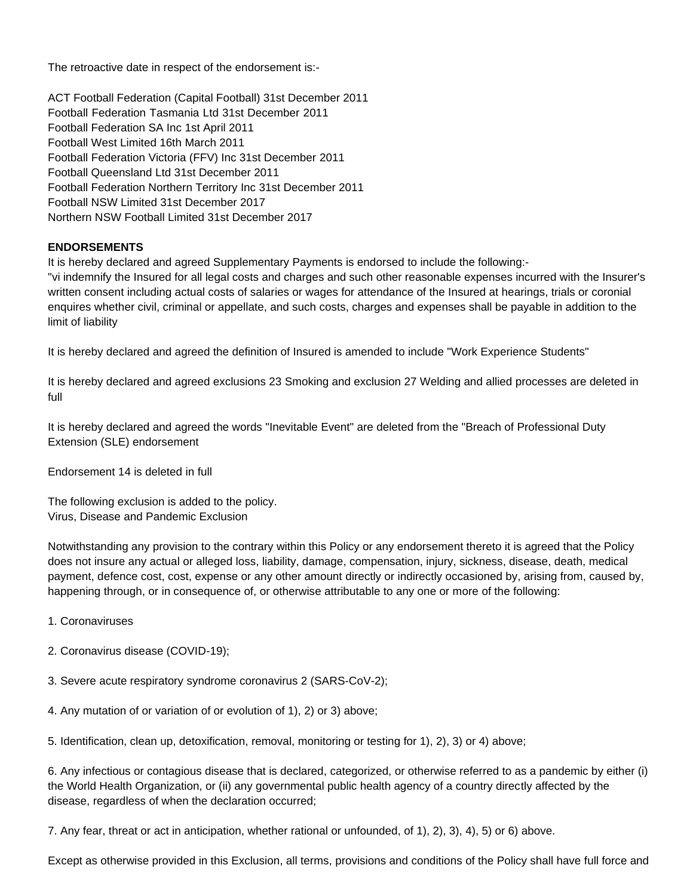The retroactive date in respect of the endorsement is:-

ACT Football Federation (Capital Football) 31st December 2011 Football Federation Tasmania Ltd 31st December 2011 Football Federation SA Inc 1st April 2011 Football West Limited 16th March 2011 Football Federation Victoria (FFV) Inc 31st December 2011 Football Queensland Ltd 31st December 2011 Football Federation Northern Territory Inc 31st December 2011 Football NSW Limited 31st December 2017 Northern NSW Football Limited 31st December 2017

#### **ENDORSEMENTS**

It is hereby declared and agreed Supplementary Payments is endorsed to include the following:- "vi indemnify the Insured for all legal costs and charges and such other reasonable expenses incurred with the Insurer's written consent including actual costs of salaries or wages for attendance of the Insured at hearings, trials or coronial enquires whether civil, criminal or appellate, and such costs, charges and expenses shall be payable in addition to the limit of liability

It is hereby declared and agreed the definition of Insured is amended to include "Work Experience Students"

It is hereby declared and agreed exclusions 23 Smoking and exclusion 27 Welding and allied processes are deleted in full

It is hereby declared and agreed the words "Inevitable Event" are deleted from the "Breach of Professional Duty Extension (SLE) endorsement

Endorsement 14 is deleted in full

The following exclusion is added to the policy. Virus, Disease and Pandemic Exclusion

Notwithstanding any provision to the contrary within this Policy or any endorsement thereto it is agreed that the Policy does not insure any actual or alleged loss, liability, damage, compensation, injury, sickness, disease, death, medical payment, defence cost, cost, expense or any other amount directly or indirectly occasioned by, arising from, caused by, happening through, or in consequence of, or otherwise attributable to any one or more of the following:

- 1. Coronaviruses
- 2. Coronavirus disease (COVID-19);
- 3. Severe acute respiratory syndrome coronavirus 2 (SARS-CoV-2);
- 4. Any mutation of or variation of or evolution of 1), 2) or 3) above;
- 5. Identification, clean up, detoxification, removal, monitoring or testing for 1), 2), 3) or 4) above;

6. Any infectious or contagious disease that is declared, categorized, or otherwise referred to as a pandemic by either (i) the World Health Organization, or (ii) any governmental public health agency of a country directly affected by the disease, regardless of when the declaration occurred;

7. Any fear, threat or act in anticipation, whether rational or unfounded, of 1), 2), 3), 4), 5) or 6) above.

Except as otherwise provided in this Exclusion, all terms, provisions and conditions of the Policy shall have full force and